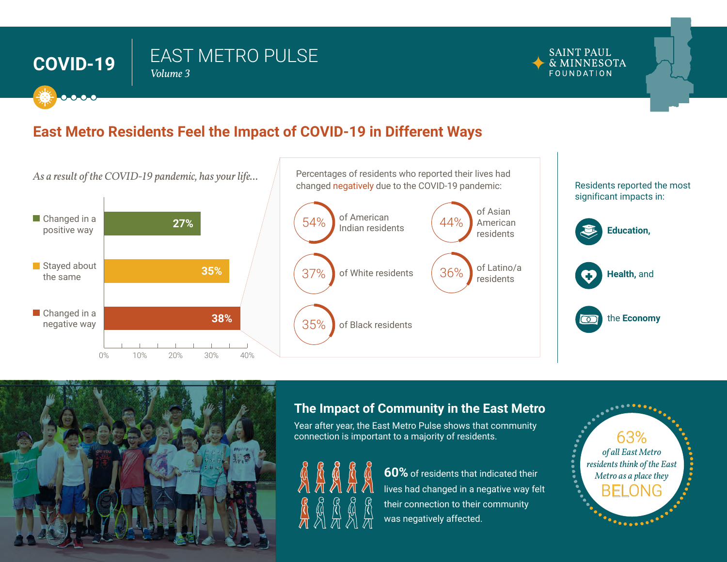## EAST METRO PULSE **COVID-19** *Volume <sup>3</sup>*



## **East Metro Residents Feel the Impact of COVID-19 in Different Ways**





## **The Impact of Community in the East Metro**

Year after year, the East Metro Pulse shows that community connection is important to a majority of residents.



**60%** of residents that indicated their lives had changed in a negative way felt their connection to their community was negatively affected.